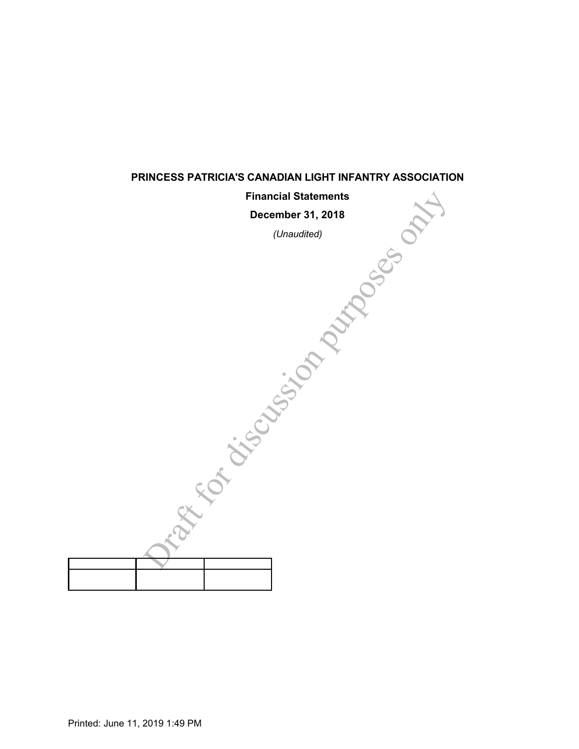| <b>Financial Statements</b> |  |
|-----------------------------|--|
| December 31, 2018           |  |
| (Unaudited)                 |  |
| OSCOTO DE<br>SCASSIN<br>is  |  |
|                             |  |
|                             |  |
|                             |  |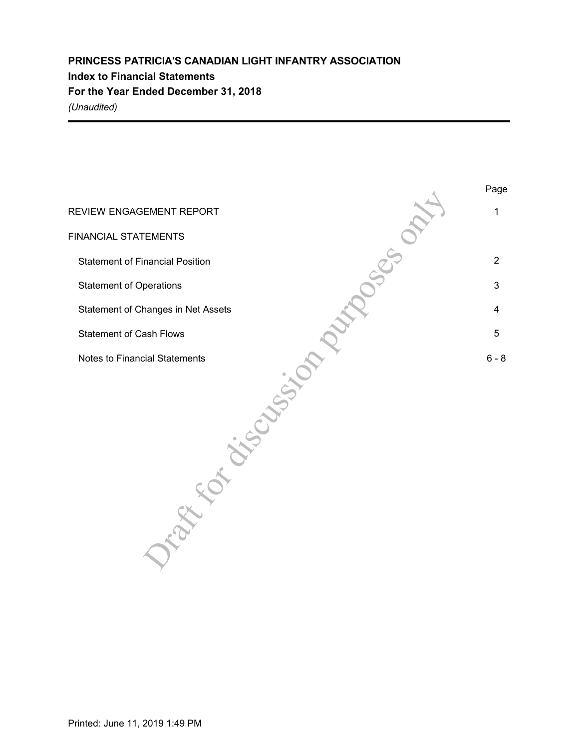# **PRINCESS PATRICIA'S CANADIAN LIGHT INFANTRY ASSOCIATION Index to Financial Statements For the Year Ended December 31, 2018** *(Unaudited)*

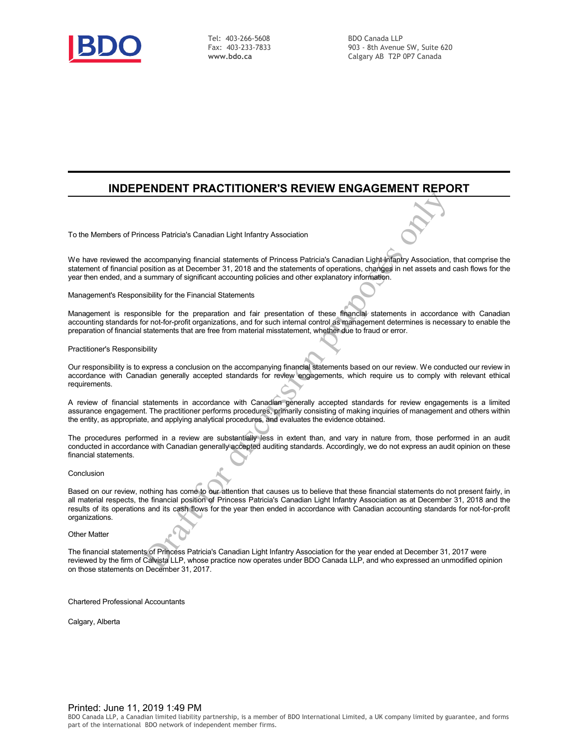

Tel: 403-266-5608 Fax: 403-233-7833 **www.bdo.ca**

BDO Canada LLP 903 - 8th Avenue SW, Suite 620 Calgary AB T2P 0P7 Canada

## **INDEPENDENT PRACTITIONER'S REVIEW ENGAGEMENT REPORT**

To the Members of Princess Patricia's Canadian Light Infantry Association

We have reviewed the accompanying financial statements of Princess Patricia's Canadian Light Infantry Association, that comprise the statement of financial position as at December 31, 2018 and the statements of operations, changes in net assets and cash flows for the year then ended, and a summary of significant accounting policies and other explanatory information.

Management's Responsibility for the Financial Statements

Management is responsible for the preparation and fair presentation of these financial statements in accordance with Canadian accounting standards for not-for-profit organizations, and for such internal control as management determines is necessary to enable the preparation of financial statements that are free from material misstatement, whether due to fraud or error.

Practitioner's Responsibility

Our responsibility is to express a conclusion on the accompanying financial statements based on our review. We conducted our review in accordance with Canadian generally accepted standards for review engagements, which require us to comply with relevant ethical requirements.

A review of financial statements in accordance with Canadian generally accepted standards for review engagements is a limited assurance engagement. The practitioner performs procedures, primarily consisting of making inquiries of management and others within the entity, as appropriate, and applying analytical procedures, and evaluates the evidence obtained.

The procedures performed in a review are substantially less in extent than, and vary in nature from, those performed in an audit conducted in accordance with Canadian generally accepted auditing standards. Accordingly, we do not express an audit opinion on these financial statements.

Conclusion

Entraneon Maria Controllery Association<br>
accompanying financial statements of Princess Patricia's Canadian Light inflantly Association,<br>
such as a becember 31, 2018 and the statements of operations, charges in net assets a Based on our review, nothing has come to our attention that causes us to believe that these financial statements do not present fairly, in all material respects, the financial position of Princess Patricia's Canadian Light Infantry Association as at December 31, 2018 and the results of its operations and its cash flows for the year then ended in accordance with Canadian accounting standards for not-for-profit organizations.

Other Matter

The financial statements of Princess Patricia's Canadian Light Infantry Association for the year ended at December 31, 2017 were reviewed by the firm of Calvista LLP, whose practice now operates under BDO Canada LLP, and who expressed an unmodified opinion on those statements on December 31, 2017.

Chartered Professional Accountants

Calgary, Alberta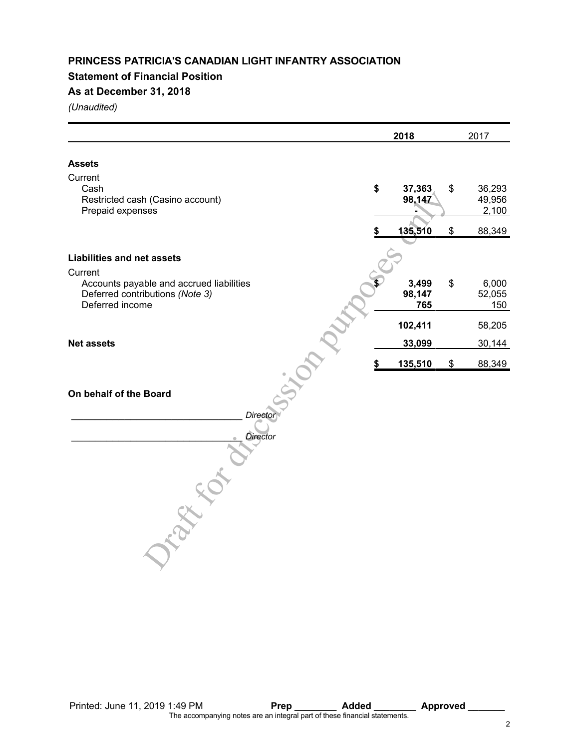## **Statement of Financial Position**

## **As at December 31, 2018**

|                                                                                                | 2018                   | 2017                            |
|------------------------------------------------------------------------------------------------|------------------------|---------------------------------|
| <b>Assets</b>                                                                                  |                        |                                 |
| Current                                                                                        |                        |                                 |
| Cash<br>Restricted cash (Casino account)<br>Prepaid expenses                                   | \$<br>37,363<br>98,147 | \$<br>36,293<br>49,956<br>2,100 |
|                                                                                                | 135,510                | \$<br>88,349                    |
| <b>Liabilities and net assets</b><br>Current                                                   |                        |                                 |
| Accounts payable and accrued liabilities<br>Deferred contributions (Note 3)<br>Deferred income | 3,499<br>98,147<br>765 | \$<br>6,000<br>52,055<br>150    |
|                                                                                                | 102,411                | 58,205                          |
| <b>Net assets</b>                                                                              | 33,099                 | 30,144                          |
|                                                                                                | \$<br>135,510          | \$<br>88,349                    |
| On behalf of the Board<br>Director                                                             |                        |                                 |
| <b>Director</b>                                                                                |                        |                                 |
|                                                                                                |                        |                                 |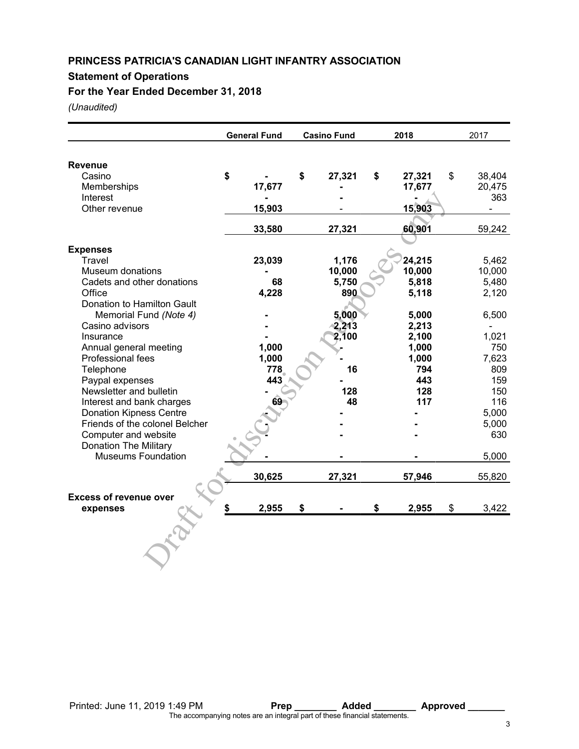## **Statement of Operations**

**For the Year Ended December 31, 2018**

|                                | <b>General Fund</b> | <b>Casino Fund</b> | 2018         | 2017         |
|--------------------------------|---------------------|--------------------|--------------|--------------|
| Revenue                        |                     |                    |              |              |
| Casino                         | \$                  | \$<br>27,321       | \$<br>27,321 | \$<br>38,404 |
| Memberships                    | 17,677              |                    | 17,677       | 20,475       |
| Interest                       |                     |                    |              | 363          |
| Other revenue                  | 15,903              |                    | 15,903       |              |
|                                | 33,580              | 27,321             | 60,901       | 59,242       |
| <b>Expenses</b>                |                     |                    |              |              |
| Travel                         | 23,039              | 1,176              | 24,215       | 5,462        |
| <b>Museum donations</b>        |                     | 10,000             | 10,000       | 10,000       |
| Cadets and other donations     | 68                  | 5,750              | 5,818        | 5,480        |
| Office                         | 4,228               | 890                | 5,118        | 2,120        |
| Donation to Hamilton Gault     |                     |                    |              |              |
| Memorial Fund (Note 4)         |                     | 5,000              | 5,000        | 6,500        |
| Casino advisors                |                     | 2,213              | 2,213        |              |
| Insurance                      |                     | 2,100              | 2,100        | 1,021        |
| Annual general meeting         | 1,000               |                    | 1,000        | 750          |
| Professional fees              | 1,000               |                    | 1,000        | 7,623        |
| Telephone                      | 778                 | 16                 | 794          | 809          |
| Paypal expenses                | 443                 |                    | 443          | 159          |
| Newsletter and bulletin        |                     | 128                | 128          | 150          |
| Interest and bank charges      | 69                  | 48                 | 117          | 116          |
| <b>Donation Kipness Centre</b> |                     |                    |              | 5,000        |
| Friends of the colonel Belcher |                     |                    |              | 5,000        |
| Computer and website           |                     |                    |              | 630          |
| <b>Donation The Military</b>   |                     |                    |              |              |
| <b>Museums Foundation</b>      |                     |                    |              | 5,000        |
|                                | 30,625              | 27,321             | 57,946       | 55,820       |
| <b>Excess of revenue over</b>  |                     |                    |              |              |
| expenses                       | 2,955               | \$                 | \$<br>2,955  | \$<br>3,422  |
|                                |                     |                    |              |              |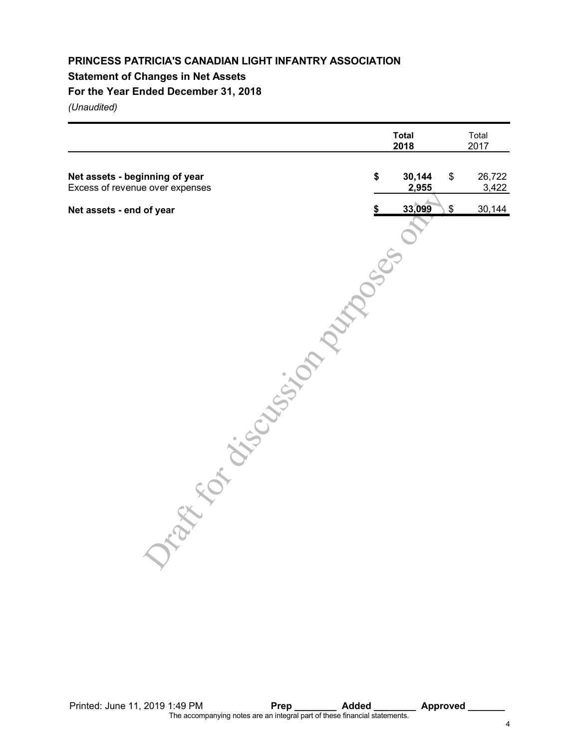## **Statement of Changes in Net Assets**

## **For the Year Ended December 31, 2018**

|                                                                   |               | <b>Total</b><br>2018 | Total<br>2017         |
|-------------------------------------------------------------------|---------------|----------------------|-----------------------|
| Net assets - beginning of year<br>Excess of revenue over expenses | \$            | 30,144<br>2,955      | \$<br>26,722<br>3,422 |
| Net assets - end of year                                          | \$            | 33,099               | \$<br>30,144          |
|                                                                   |               |                      |                       |
|                                                                   | <b>Zoocen</b> |                      |                       |
|                                                                   |               |                      |                       |
|                                                                   |               |                      |                       |
|                                                                   |               |                      |                       |
|                                                                   |               |                      |                       |
|                                                                   |               |                      |                       |
|                                                                   |               |                      |                       |
|                                                                   |               |                      |                       |
| Tape of Chicago Map                                               |               |                      |                       |
|                                                                   |               |                      |                       |
|                                                                   |               |                      |                       |
|                                                                   |               |                      |                       |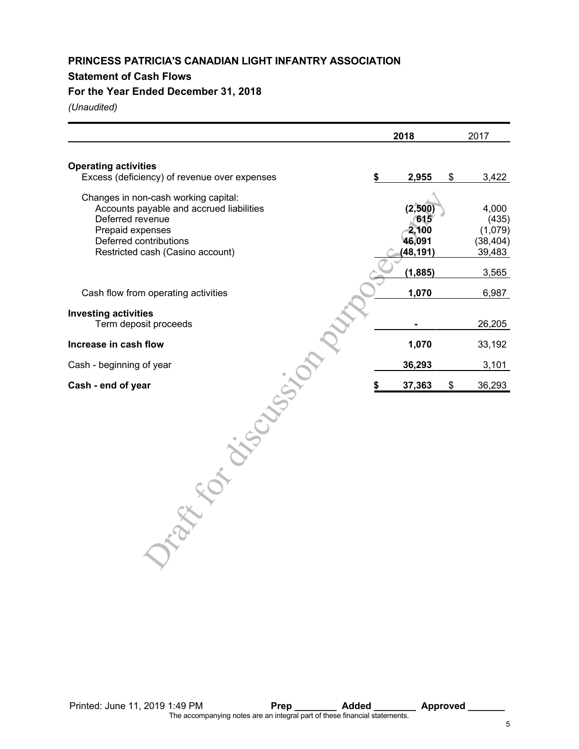## **Statement of Cash Flows**

## **For the Year Ended December 31, 2018**

|                                              | 2018 |           |    | 2017      |
|----------------------------------------------|------|-----------|----|-----------|
| <b>Operating activities</b>                  |      |           |    |           |
| Excess (deficiency) of revenue over expenses | \$   | 2,955     | \$ | 3,422     |
| Changes in non-cash working capital:         |      |           |    |           |
| Accounts payable and accrued liabilities     |      | (2,500)   |    | 4,000     |
| Deferred revenue                             |      | 615       |    | (435)     |
| Prepaid expenses                             |      | 2,100     |    | (1,079)   |
| Deferred contributions                       |      | 46,091    |    | (38, 404) |
| Restricted cash (Casino account)             |      | (48, 191) |    | 39,483    |
|                                              |      | (1, 885)  |    | 3,565     |
| Cash flow from operating activities          |      | 1,070     |    | 6,987     |
| <b>Investing activities</b>                  |      |           |    |           |
| Term deposit proceeds                        |      |           |    | 26,205    |
| Increase in cash flow                        |      | 1,070     |    | 33,192    |
| Cash - beginning of year                     |      | 36,293    |    | 3,101     |
| Cash - end of year                           | \$   | 37,363    | \$ | 36,293    |
|                                              |      |           |    |           |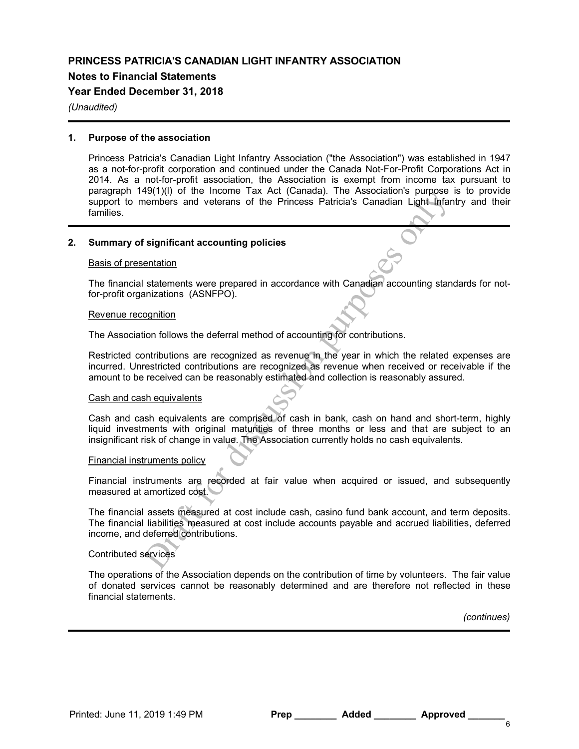### **Notes to Financial Statements**

### **Year Ended December 31, 2018**

#### *(Unaudited)*

#### **1. Purpose of the association**

Princess Patricia's Canadian Light Infantry Association ("the Association") was established in 1947 as a not-for-profit corporation and continued under the Canada Not-For-Profit Corporations Act in 2014. As a not-for-profit association, the Association is exempt from income tax pursuant to paragraph 149(1)(l) of the Income Tax Act (Canada). The Association's purpose is to provide support to members and veterans of the Princess Patricia's Canadian Light Infantry and their families.

#### **2. Summary of significant accounting policies**

#### Basis of presentation

The financial statements were prepared in accordance with Canadian accounting standards for notfor-profit organizations (ASNFPO).

#### Revenue recognition

The Association follows the deferral method of accounting for contributions.

Solution of the microter has but (can based). The Sosociations purposes and veterans of the Princess Patricia's Canadian Light Infrarementers and veterans of the Princess Patricia's Canadian Light Infrarements were prepare Restricted contributions are recognized as revenue in the year in which the related expenses are incurred. Unrestricted contributions are recognized as revenue when received or receivable if the amount to be received can be reasonably estimated and collection is reasonably assured.

#### Cash and cash equivalents

Cash and cash equivalents are comprised of cash in bank, cash on hand and short-term, highly liquid investments with original maturities of three months or less and that are subject to an insignificant risk of change in value. The Association currently holds no cash equivalents.

#### Financial instruments policy

Financial instruments are recorded at fair value when acquired or issued, and subsequently measured at amortized cost.

The financial assets measured at cost include cash, casino fund bank account, and term deposits. The financial liabilities measured at cost include accounts payable and accrued liabilities, deferred income, and deferred contributions.

#### Contributed services

The operations of the Association depends on the contribution of time by volunteers. The fair value of donated services cannot be reasonably determined and are therefore not reflected in these financial statements.

*(continues)*

Printed: June 11, 2019 1:49 PM **Prep Added Approved**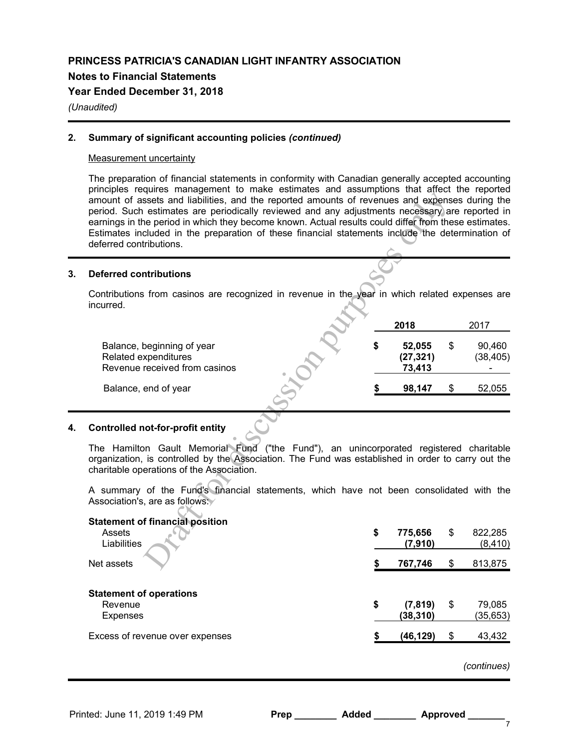### **Notes to Financial Statements**

### **Year Ended December 31, 2018**

### *(Unaudited)*

### **2. Summary of significant accounting policies** *(continued)*

#### Measurement uncertainty

The preparation of financial statements in conformity with Canadian generally accepted accounting principles requires management to make estimates and assumptions that affect the reported amount of assets and liabilities, and the reported amounts of revenues and expenses during the period. Such estimates are periodically reviewed and any adjustments necessary are reported in earnings in the period in which they become known. Actual results could differ from these estimates. Estimates included in the preparation of these financial statements include the determination of deferred contributions.

### **3. Deferred contributions**

| $100$ regained management to make $\sqrt{2}$<br>amount of assets and liabilities, and the reported amounts of revenues and expenses during the<br>period. Such estimates are periodically reviewed and any adjustments necessary are reported in<br>earnings in the period in which they become known. Actual results could differ from these estimates.<br>Estimates included in the preparation of these financial statements include the determination of<br>deferred contributions. |    |                               |                           |
|-----------------------------------------------------------------------------------------------------------------------------------------------------------------------------------------------------------------------------------------------------------------------------------------------------------------------------------------------------------------------------------------------------------------------------------------------------------------------------------------|----|-------------------------------|---------------------------|
|                                                                                                                                                                                                                                                                                                                                                                                                                                                                                         |    |                               |                           |
| Deferred contributions                                                                                                                                                                                                                                                                                                                                                                                                                                                                  |    |                               |                           |
| Contributions from casinos are recognized in revenue in the year in which related expenses are<br>ncurred.                                                                                                                                                                                                                                                                                                                                                                              |    |                               |                           |
|                                                                                                                                                                                                                                                                                                                                                                                                                                                                                         |    | 2018                          | 2017                      |
| Balance, beginning of year<br>Related expenditures<br>Revenue received from casinos                                                                                                                                                                                                                                                                                                                                                                                                     | \$ | 52,055<br>(27, 321)<br>73,413 | \$<br>90,460<br>(38, 405) |
| Balance, end of year                                                                                                                                                                                                                                                                                                                                                                                                                                                                    |    | 98,147                        | \$<br>52,055              |
| Controlled not-for-profit entity                                                                                                                                                                                                                                                                                                                                                                                                                                                        |    |                               |                           |
| The Hamilton Gault Memorial Fund ("the Fund"), an unincorporated registered charitable<br>organization, is controlled by the Association. The Fund was established in order to carry out the<br>charitable operations of the Association.                                                                                                                                                                                                                                               |    |                               |                           |
| A summary of the Fund's financial statements, which have not been consolidated with the<br>Association's, are as follows:                                                                                                                                                                                                                                                                                                                                                               |    |                               |                           |
| <b>Statement of financial position</b>                                                                                                                                                                                                                                                                                                                                                                                                                                                  |    |                               |                           |
| Assets<br>Liabilities                                                                                                                                                                                                                                                                                                                                                                                                                                                                   | \$ | 775,656<br>(7, 910)           | \$<br>822,285<br>(8, 410) |
| Net assets                                                                                                                                                                                                                                                                                                                                                                                                                                                                              | S  | 767,746                       | \$<br>813,875             |
|                                                                                                                                                                                                                                                                                                                                                                                                                                                                                         |    |                               |                           |

## **4. Controlled not-for-profit entity**

| <b>Statement of financial position</b><br>Assets<br>Liabilities | \$<br>775,656<br>(7,910)    | \$<br>822,285<br>(8, 410) |
|-----------------------------------------------------------------|-----------------------------|---------------------------|
| Net assets                                                      | 767,746                     | \$<br>813,875             |
| <b>Statement of operations</b><br>Revenue<br><b>Expenses</b>    | \$<br>(7, 819)<br>(38, 310) | \$<br>79,085<br>(35, 653) |
| Excess of revenue over expenses                                 | (46, 129)                   | \$<br>43,432              |
|                                                                 |                             |                           |

*(continues)*

| Prep | Added | <b>Approved</b> |
|------|-------|-----------------|
|      |       |                 |